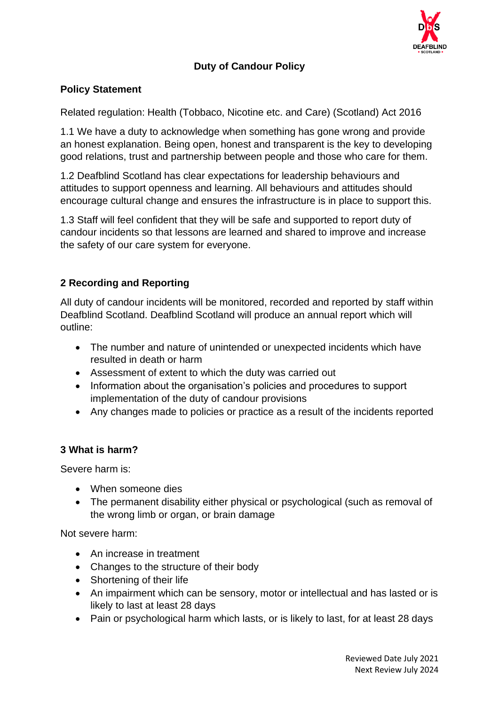

# **Duty of Candour Policy**

### **Policy Statement**

Related regulation: Health (Tobbaco, Nicotine etc. and Care) (Scotland) Act 2016

1.1 We have a duty to acknowledge when something has gone wrong and provide an honest explanation. Being open, honest and transparent is the key to developing good relations, trust and partnership between people and those who care for them.

1.2 Deafblind Scotland has clear expectations for leadership behaviours and attitudes to support openness and learning. All behaviours and attitudes should encourage cultural change and ensures the infrastructure is in place to support this.

1.3 Staff will feel confident that they will be safe and supported to report duty of candour incidents so that lessons are learned and shared to improve and increase the safety of our care system for everyone.

### **2 Recording and Reporting**

All duty of candour incidents will be monitored, recorded and reported by staff within Deafblind Scotland. Deafblind Scotland will produce an annual report which will outline:

- The number and nature of unintended or unexpected incidents which have resulted in death or harm
- Assessment of extent to which the duty was carried out
- Information about the organisation's policies and procedures to support implementation of the duty of candour provisions
- Any changes made to policies or practice as a result of the incidents reported

#### **3 What is harm?**

Severe harm is:

- When someone dies
- The permanent disability either physical or psychological (such as removal of the wrong limb or organ, or brain damage

Not severe harm:

- An increase in treatment
- Changes to the structure of their body
- Shortening of their life
- An impairment which can be sensory, motor or intellectual and has lasted or is likely to last at least 28 days
- Pain or psychological harm which lasts, or is likely to last, for at least 28 days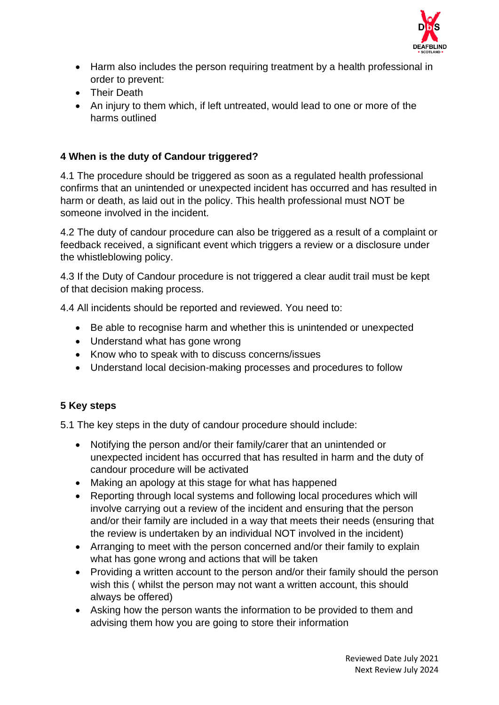

- Harm also includes the person requiring treatment by a health professional in order to prevent:
- Their Death
- An injury to them which, if left untreated, would lead to one or more of the harms outlined

### **4 When is the duty of Candour triggered?**

4.1 The procedure should be triggered as soon as a regulated health professional confirms that an unintended or unexpected incident has occurred and has resulted in harm or death, as laid out in the policy. This health professional must NOT be someone involved in the incident.

4.2 The duty of candour procedure can also be triggered as a result of a complaint or feedback received, a significant event which triggers a review or a disclosure under the whistleblowing policy.

4.3 If the Duty of Candour procedure is not triggered a clear audit trail must be kept of that decision making process.

4.4 All incidents should be reported and reviewed. You need to:

- Be able to recognise harm and whether this is unintended or unexpected
- Understand what has gone wrong
- Know who to speak with to discuss concerns/issues
- Understand local decision-making processes and procedures to follow

#### **5 Key steps**

5.1 The key steps in the duty of candour procedure should include:

- Notifying the person and/or their family/carer that an unintended or unexpected incident has occurred that has resulted in harm and the duty of candour procedure will be activated
- Making an apology at this stage for what has happened
- Reporting through local systems and following local procedures which will involve carrying out a review of the incident and ensuring that the person and/or their family are included in a way that meets their needs (ensuring that the review is undertaken by an individual NOT involved in the incident)
- Arranging to meet with the person concerned and/or their family to explain what has gone wrong and actions that will be taken
- Providing a written account to the person and/or their family should the person wish this ( whilst the person may not want a written account, this should always be offered)
- Asking how the person wants the information to be provided to them and advising them how you are going to store their information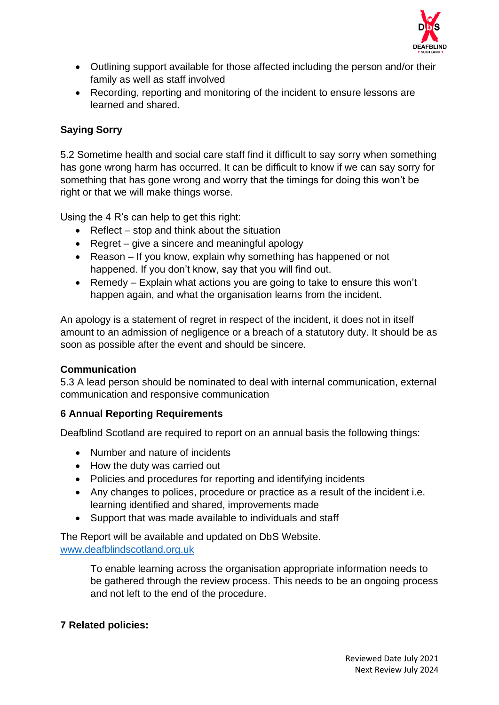

- Outlining support available for those affected including the person and/or their family as well as staff involved
- Recording, reporting and monitoring of the incident to ensure lessons are learned and shared.

# **Saying Sorry**

5.2 Sometime health and social care staff find it difficult to say sorry when something has gone wrong harm has occurred. It can be difficult to know if we can say sorry for something that has gone wrong and worry that the timings for doing this won't be right or that we will make things worse.

Using the 4 R's can help to get this right:

- Reflect stop and think about the situation
- Regret give a sincere and meaningful apology
- Reason If you know, explain why something has happened or not happened. If you don't know, say that you will find out.
- Remedy Explain what actions you are going to take to ensure this won't happen again, and what the organisation learns from the incident.

An apology is a statement of regret in respect of the incident, it does not in itself amount to an admission of negligence or a breach of a statutory duty. It should be as soon as possible after the event and should be sincere.

#### **Communication**

5.3 A lead person should be nominated to deal with internal communication, external communication and responsive communication

## **6 Annual Reporting Requirements**

Deafblind Scotland are required to report on an annual basis the following things:

- Number and nature of incidents
- How the duty was carried out
- Policies and procedures for reporting and identifying incidents
- Any changes to polices, procedure or practice as a result of the incident i.e. learning identified and shared, improvements made
- Support that was made available to individuals and staff

The Report will be available and updated on DbS Website. [www.deafblindscotland.org.uk](http://www.deafblindscotland.org.uk/)

> To enable learning across the organisation appropriate information needs to be gathered through the review process. This needs to be an ongoing process and not left to the end of the procedure.

## **7 Related policies:**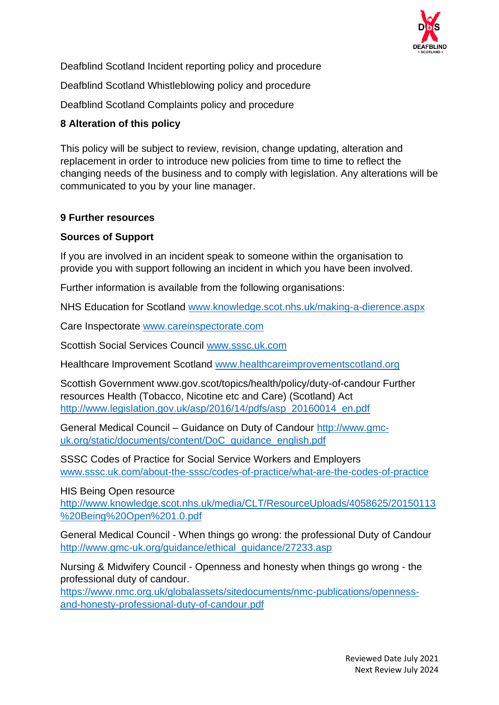

Deafblind Scotland Incident reporting policy and procedure

Deafblind Scotland Whistleblowing policy and procedure

Deafblind Scotland Complaints policy and procedure

# **8 Alteration of this policy**

This policy will be subject to review, revision, change updating, alteration and replacement in order to introduce new policies from time to time to reflect the changing needs of the business and to comply with legislation. Any alterations will be communicated to you by your line manager.

### **9 Further resources**

### **Sources of Support**

If you are involved in an incident speak to someone within the organisation to provide you with support following an incident in which you have been involved.

Further information is available from the following organisations:

NHS Education for Scotland [www.knowledge.scot.nhs.uk/making-a-dierence.aspx](http://www.knowledge.scot.nhs.uk/making-a-dierence.aspx)

Care Inspectorate [www.careinspectorate.com](http://www.careinspectorate.com/)

Scottish Social Services Council [www.sssc.uk.com](http://www.sssc.uk.com/)

Healthcare Improvement Scotland [www.healthcareimprovementscotland.org](http://www.healthcareimprovementscotland.org/)

Scottish Government www.gov.scot/topics/health/policy/duty-of-candour Further resources Health (Tobacco, Nicotine etc and Care) (Scotland) Act [http://www.legislation.gov.uk/asp/2016/14/pdfs/asp\\_20160014\\_en.pdf](http://www.legislation.gov.uk/asp/2016/14/pdfs/asp_20160014_en.pdf)

General Medical Council – Guidance on Duty of Candour [http://www.gmc](http://www.gmc-uk.org/static/documents/content/DoC_guidance_english.pdf)[uk.org/static/documents/content/DoC\\_guidance\\_english.pdf](http://www.gmc-uk.org/static/documents/content/DoC_guidance_english.pdf)

SSSC Codes of Practice for Social Service Workers and Employers [www.sssc.uk.com/about-the-sssc/codes-of-practice/what-are-the-codes-of-practice](http://www.sssc.uk.com/about-the-sssc/codes-of-practice/what-are-the-codes-of-practice)

HIS Being Open resource

[http://www.knowledge.scot.nhs.uk/media/CLT/ResourceUploads/4058625/20150113](http://www.knowledge.scot.nhs.uk/media/CLT/ResourceUploads/4058625/20150113%20Being%20Open%201.0.pdf) [%20Being%20Open%201.0.pdf](http://www.knowledge.scot.nhs.uk/media/CLT/ResourceUploads/4058625/20150113%20Being%20Open%201.0.pdf)

General Medical Council - When things go wrong: the professional Duty of Candour [http://www.gmc-uk.org/guidance/ethical\\_guidance/27233.asp](http://www.gmc-uk.org/guidance/ethical_guidance/27233.asp)

Nursing & Midwifery Council - Openness and honesty when things go wrong - the professional duty of candour.

[https://www.nmc.org.uk/globalassets/sitedocuments/nmc-publications/openness](https://www.nmc.org.uk/globalassets/sitedocuments/nmc-publications/openness-and-honesty-professional-duty-of-candour.pdf)[and-honesty-professional-duty-of-candour.pdf](https://www.nmc.org.uk/globalassets/sitedocuments/nmc-publications/openness-and-honesty-professional-duty-of-candour.pdf)